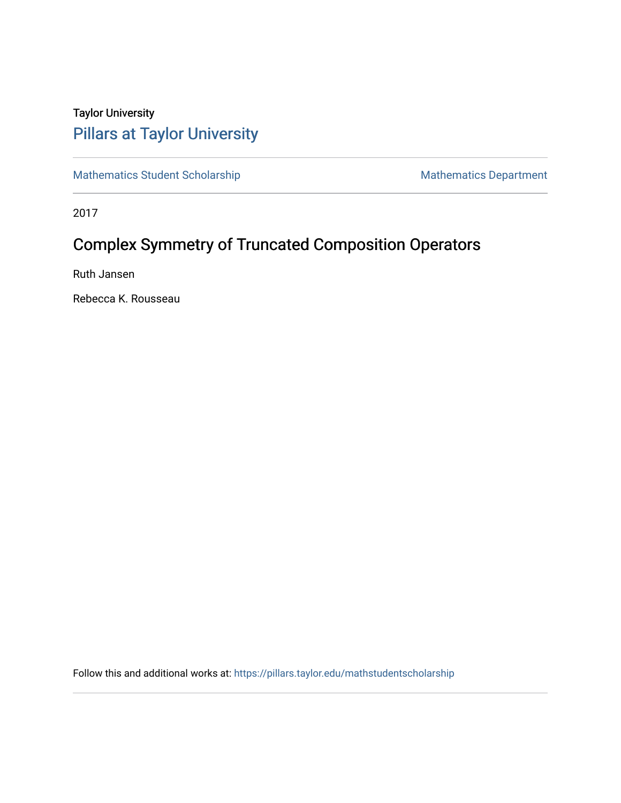## Taylor University [Pillars at Taylor University](https://pillars.taylor.edu/)

[Mathematics Student Scholarship](https://pillars.taylor.edu/mathstudentscholarship) Mathematics Department

2017

# Complex Symmetry of Truncated Composition Operators

Ruth Jansen

Rebecca K. Rousseau

Follow this and additional works at: [https://pillars.taylor.edu/mathstudentscholarship](https://pillars.taylor.edu/mathstudentscholarship?utm_source=pillars.taylor.edu%2Fmathstudentscholarship%2F1&utm_medium=PDF&utm_campaign=PDFCoverPages)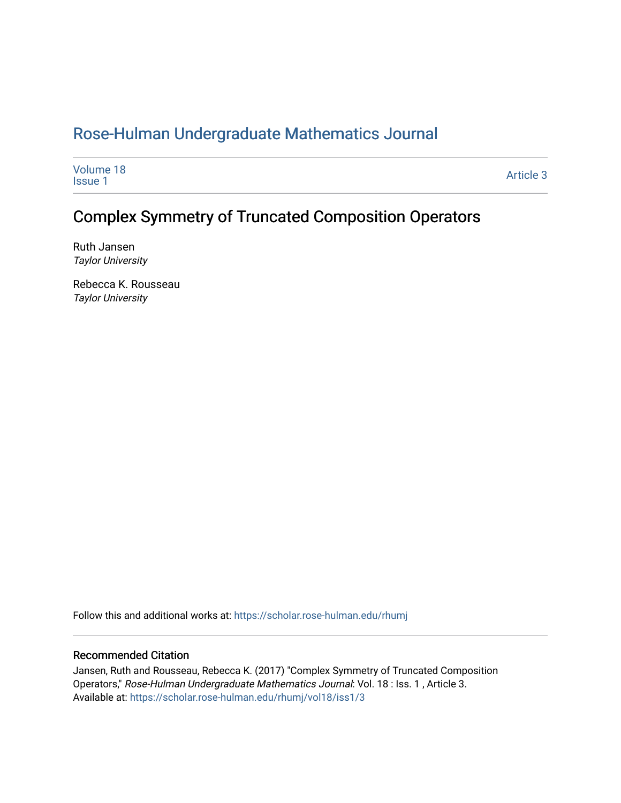## [Rose-Hulman Undergraduate Mathematics Journal](https://scholar.rose-hulman.edu/rhumj)

| Volume 18<br><b>Issue 1</b> | Article 3 |
|-----------------------------|-----------|
|-----------------------------|-----------|

## Complex Symmetry of Truncated Composition Operators

Ruth Jansen Taylor University

Rebecca K. Rousseau Taylor University

Follow this and additional works at: [https://scholar.rose-hulman.edu/rhumj](https://scholar.rose-hulman.edu/rhumj?utm_source=scholar.rose-hulman.edu%2Frhumj%2Fvol18%2Fiss1%2F3&utm_medium=PDF&utm_campaign=PDFCoverPages)

#### Recommended Citation

Jansen, Ruth and Rousseau, Rebecca K. (2017) "Complex Symmetry of Truncated Composition Operators," Rose-Hulman Undergraduate Mathematics Journal: Vol. 18 : Iss. 1 , Article 3. Available at: [https://scholar.rose-hulman.edu/rhumj/vol18/iss1/3](https://scholar.rose-hulman.edu/rhumj/vol18/iss1/3?utm_source=scholar.rose-hulman.edu%2Frhumj%2Fvol18%2Fiss1%2F3&utm_medium=PDF&utm_campaign=PDFCoverPages)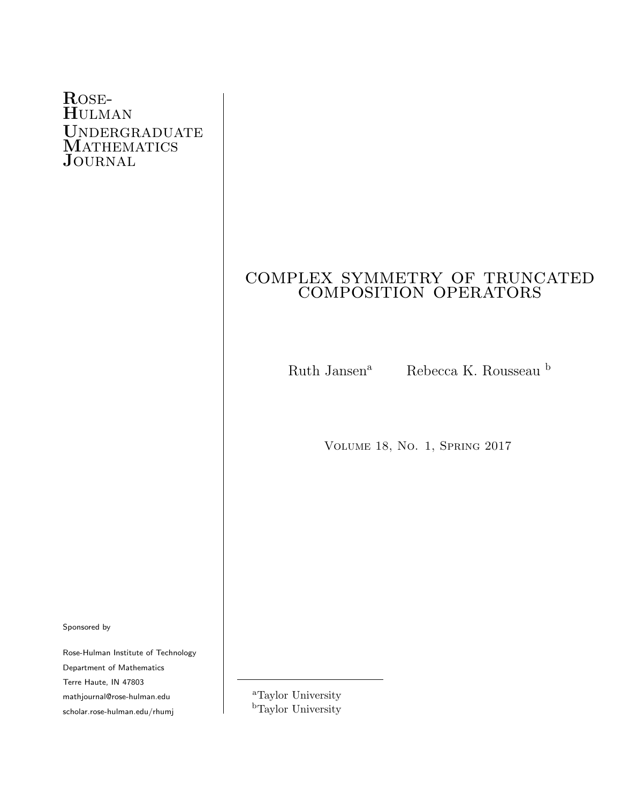### Rose-Hulman UNDERGRADUATE MATHEMATICS J<sub>OURNAL</sub>

# complex symmetry of truncated LEA SYMMETRY OF TRUNC

Ruth Jansen<sup>a</sup> Rebecca K. Rousseau b

Volume 18, No. 1, Spring 2017

Sponsored by

Rose-Hulman Institute of Technology Department of Mathematics Terre Haute, IN 47803 mathjournal@rose-hulman.edu scholar.rose-hulman.edu/rhumj

<sup>a</sup>Taylor University <sup>b</sup>Taylor University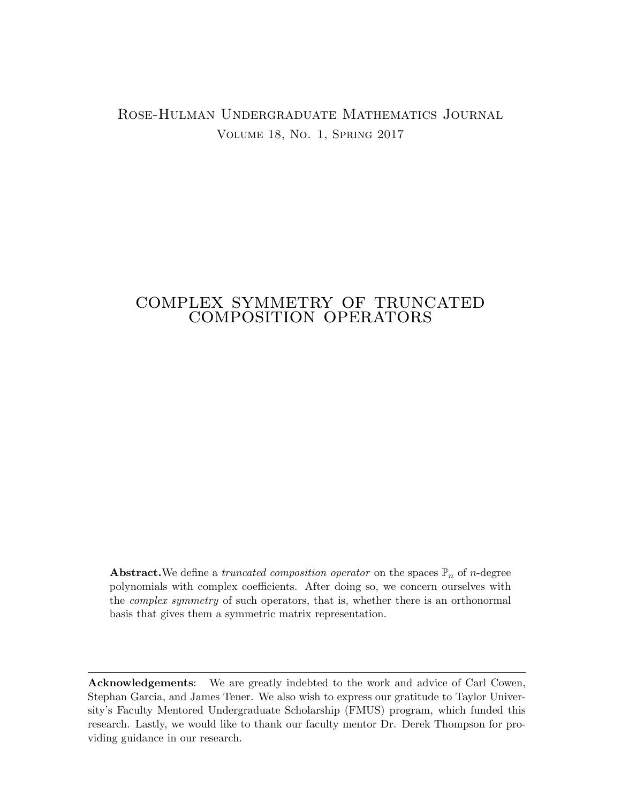#### Rose-Hulman Undergraduate Mathematics Journal Volume 18, No. 1, Spring 2017

# complex symmetry of truncated LEA SYMMETRY OF TRUNC

**Abstract.**We define a *truncated composition operator* on the spaces  $\mathbb{P}_n$  of *n*-degree polynomials with complex coefficients. After doing so, we concern ourselves with the *complex symmetry* of such operators, that is, whether there is an orthonormal basis that gives them a symmetric matrix representation.

Acknowledgements: We are greatly indebted to the work and advice of Carl Cowen, Stephan Garcia, and James Tener. We also wish to express our gratitude to Taylor University's Faculty Mentored Undergraduate Scholarship (FMUS) program, which funded this research. Lastly, we would like to thank our faculty mentor Dr. Derek Thompson for providing guidance in our research.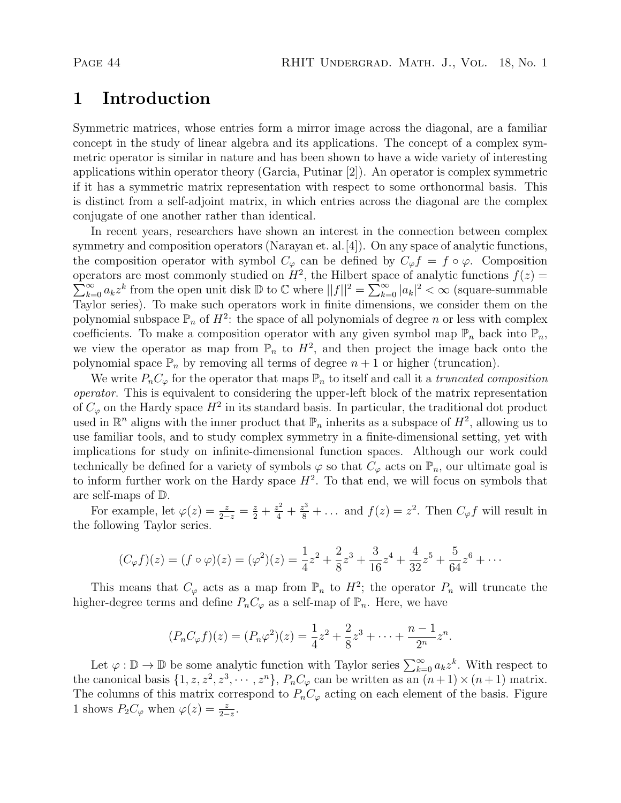## 1 Introduction

Symmetric matrices, whose entries form a mirror image across the diagonal, are a familiar concept in the study of linear algebra and its applications. The concept of a complex symmetric operator is similar in nature and has been shown to have a wide variety of interesting applications within operator theory (Garcia, Putinar [2]). An operator is complex symmetric if it has a symmetric matrix representation with respect to some orthonormal basis. This is distinct from a self-adjoint matrix, in which entries across the diagonal are the complex conjugate of one another rather than identical.

In recent years, researchers have shown an interest in the connection between complex symmetry and composition operators (Narayan et. al. [4]). On any space of analytic functions, the composition operator with symbol  $C_{\varphi}$  can be defined by  $C_{\varphi} f = f \circ \varphi$ . Composition operators are most commonly studied on  $H^2$ , the Hilbert space of analytic functions  $f(z)$  $\sum_{k=0}^{\infty} a_k z^k$  from the open unit disk  $\mathbb{D}$  to  $\mathbb{C}$  where  $||f||^2 = \sum_{k=0}^{\infty} |a_k|^2 < \infty$  (square-summable Taylor series). To make such operators work in finite dimensions, we consider them on the polynomial subspace  $\mathbb{P}_n$  of  $H^2$ : the space of all polynomials of degree n or less with complex coefficients. To make a composition operator with any given symbol map  $\mathbb{P}_n$  back into  $\mathbb{P}_n$ , we view the operator as map from  $\mathbb{P}_n$  to  $H^2$ , and then project the image back onto the polynomial space  $\mathbb{P}_n$  by removing all terms of degree  $n+1$  or higher (truncation).

We write  $P_nC_\varphi$  for the operator that maps  $\mathbb{P}_n$  to itself and call it a truncated composition operator. This is equivalent to considering the upper-left block of the matrix representation of  $C_{\varphi}$  on the Hardy space  $H^2$  in its standard basis. In particular, the traditional dot product used in  $\mathbb{R}^n$  aligns with the inner product that  $\mathbb{P}_n$  inherits as a subspace of  $H^2$ , allowing us to use familiar tools, and to study complex symmetry in a finite-dimensional setting, yet with implications for study on infinite-dimensional function spaces. Although our work could technically be defined for a variety of symbols  $\varphi$  so that  $C_{\varphi}$  acts on  $\mathbb{P}_n$ , our ultimate goal is to inform further work on the Hardy space  $H^2$ . To that end, we will focus on symbols that are self-maps of D.

For example, let  $\varphi(z) = \frac{z}{2-z} = \frac{z}{2} + \frac{z^2}{4} + \frac{z^3}{8} + \dots$  and  $f(z) = z^2$ . Then  $C_{\varphi} f$  will result in the following Taylor series.

$$
(C_{\varphi}f)(z) = (f \circ \varphi)(z) = (\varphi^2)(z) = \frac{1}{4}z^2 + \frac{2}{8}z^3 + \frac{3}{16}z^4 + \frac{4}{32}z^5 + \frac{5}{64}z^6 + \cdots
$$

This means that  $C_{\varphi}$  acts as a map from  $\mathbb{P}_n$  to  $H^2$ ; the operator  $P_n$  will truncate the higher-degree terms and define  $P_nC_\varphi$  as a self-map of  $\mathbb{P}_n$ . Here, we have

$$
(P_nC_{\varphi}f)(z) = (P_n\varphi^2)(z) = \frac{1}{4}z^2 + \frac{2}{8}z^3 + \dots + \frac{n-1}{2^n}z^n.
$$

Let  $\varphi : \mathbb{D} \to \mathbb{D}$  be some analytic function with Taylor series  $\sum_{k=0}^{\infty} a_k z^k$ . With respect to the canonical basis  $\{1, z, z^2, z^3, \cdots, z^n\}, P_nC_\varphi$  can be written as an  $(n+1) \times (n+1)$  matrix. The columns of this matrix correspond to  $P_nC_\varphi$  acting on each element of the basis. Figure 1 shows  $P_2C_\varphi$  when  $\varphi(z) = \frac{z}{2-z}$ .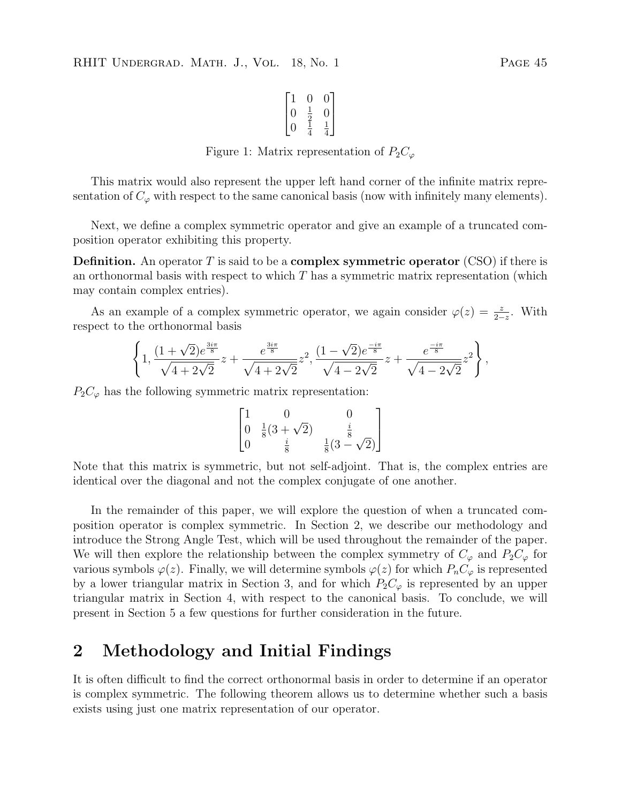$$
\begin{bmatrix} 1 & 0 & 0 \\ 0 & \frac{1}{2} & 0 \\ 0 & \frac{1}{4} & \frac{1}{4} \end{bmatrix}
$$

Figure 1: Matrix representation of  $P_2C_\varphi$ 

This matrix would also represent the upper left hand corner of the infinite matrix representation of  $C_{\varphi}$  with respect to the same canonical basis (now with infinitely many elements).

Next, we define a complex symmetric operator and give an example of a truncated composition operator exhibiting this property.

**Definition.** An operator T is said to be a **complex symmetric operator** (CSO) if there is an orthonormal basis with respect to which  $T$  has a symmetric matrix representation (which may contain complex entries).

As an example of a complex symmetric operator, we again consider  $\varphi(z) = \frac{z}{2-z}$ . With respect to the orthonormal basis

$$
\left\{1, \frac{(1+\sqrt{2})e^{\frac{3i\pi}{8}}}{\sqrt{4+2\sqrt{2}}}z + \frac{e^{\frac{3i\pi}{8}}}{\sqrt{4+2\sqrt{2}}}z^2, \frac{(1-\sqrt{2})e^{\frac{-i\pi}{8}}}{\sqrt{4-2\sqrt{2}}}z + \frac{e^{\frac{-i\pi}{8}}}{\sqrt{4-2\sqrt{2}}}z^2\right\},\right.
$$

 $P_2C_{\varphi}$  has the following symmetric matrix representation:

$$
\begin{bmatrix} 1 & 0 & 0 \ 0 & \frac{1}{8}(3+\sqrt{2}) & \frac{i}{8} \\ 0 & \frac{i}{8} & \frac{1}{8}(3-\sqrt{2}) \end{bmatrix}
$$

Note that this matrix is symmetric, but not self-adjoint. That is, the complex entries are identical over the diagonal and not the complex conjugate of one another.

In the remainder of this paper, we will explore the question of when a truncated composition operator is complex symmetric. In Section 2, we describe our methodology and introduce the Strong Angle Test, which will be used throughout the remainder of the paper. We will then explore the relationship between the complex symmetry of  $C_{\varphi}$  and  $P_2C_{\varphi}$  for various symbols  $\varphi(z)$ . Finally, we will determine symbols  $\varphi(z)$  for which  $P_nC_\varphi$  is represented by a lower triangular matrix in Section 3, and for which  $P_2C_{\varphi}$  is represented by an upper triangular matrix in Section 4, with respect to the canonical basis. To conclude, we will present in Section 5 a few questions for further consideration in the future.

### 2 Methodology and Initial Findings

It is often difficult to find the correct orthonormal basis in order to determine if an operator is complex symmetric. The following theorem allows us to determine whether such a basis exists using just one matrix representation of our operator.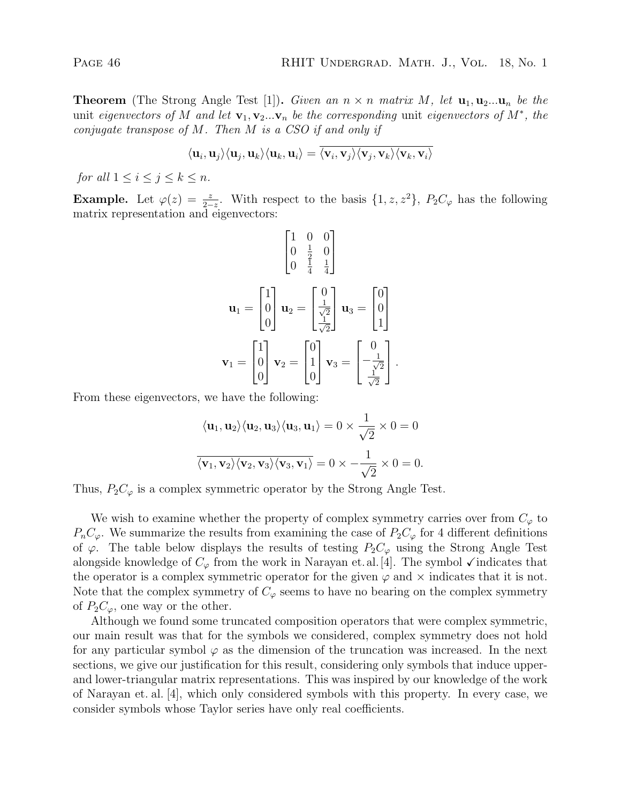**Theorem** (The Strong Angle Test [1]). Given an  $n \times n$  matrix M, let  $\mathbf{u}_1, \mathbf{u}_2, \dots, \mathbf{u}_n$  be the unit eigenvectors of M and let  $\mathbf{v}_1, \mathbf{v}_2 ... \mathbf{v}_n$  be the corresponding unit eigenvectors of  $M^*$ , the conjugate transpose of M. Then M is a CSO if and only if

$$
\langle \mathbf{u}_i, \mathbf{u}_j \rangle \langle \mathbf{u}_j, \mathbf{u}_k \rangle \langle \mathbf{u}_k, \mathbf{u}_i \rangle = \langle \mathbf{v}_i, \mathbf{v}_j \rangle \langle \mathbf{v}_j, \mathbf{v}_k \rangle \langle \mathbf{v}_k, \mathbf{v}_i \rangle
$$

for all  $1 \leq i \leq j \leq k \leq n$ .

**Example.** Let  $\varphi(z) = \frac{z}{2-z}$ . With respect to the basis  $\{1, z, z^2\}$ ,  $P_2C_{\varphi}$  has the following matrix representation and eigenvectors:

$$
\mathbf{u}_{1} = \begin{bmatrix} 1 & 0 & 0 \\ 0 & \frac{1}{2} & 0 \\ 0 & \frac{1}{4} & \frac{1}{4} \end{bmatrix}
$$

$$
\mathbf{u}_{1} = \begin{bmatrix} 1 \\ 0 \\ 0 \end{bmatrix} \mathbf{u}_{2} = \begin{bmatrix} 0 \\ \frac{1}{\sqrt{2}} \\ \frac{1}{\sqrt{2}} \end{bmatrix} \mathbf{u}_{3} = \begin{bmatrix} 0 \\ 0 \\ 1 \end{bmatrix}
$$

$$
\mathbf{v}_{1} = \begin{bmatrix} 1 \\ 0 \\ 0 \end{bmatrix} \mathbf{v}_{2} = \begin{bmatrix} 0 \\ 1 \\ 0 \end{bmatrix} \mathbf{v}_{3} = \begin{bmatrix} 0 \\ -\frac{1}{\sqrt{2}} \\ \frac{1}{\sqrt{2}} \end{bmatrix}.
$$

From these eigenvectors, we have the following:

$$
\langle \mathbf{u}_1, \mathbf{u}_2 \rangle \langle \mathbf{u}_2, \mathbf{u}_3 \rangle \langle \mathbf{u}_3, \mathbf{u}_1 \rangle = 0 \times \frac{1}{\sqrt{2}} \times 0 = 0
$$
  

$$
\overline{\langle \mathbf{v}_1, \mathbf{v}_2 \rangle \langle \mathbf{v}_2, \mathbf{v}_3 \rangle \langle \mathbf{v}_3, \mathbf{v}_1 \rangle} = 0 \times -\frac{1}{\sqrt{2}} \times 0 = 0.
$$

Thus,  $P_2C_{\varphi}$  is a complex symmetric operator by the Strong Angle Test.

We wish to examine whether the property of complex symmetry carries over from  $C_{\varphi}$  to  $P_nC_\varphi$ . We summarize the results from examining the case of  $P_2C_\varphi$  for 4 different definitions of  $\varphi$ . The table below displays the results of testing  $P_2C_{\varphi}$  using the Strong Angle Test alongside knowledge of  $C_{\varphi}$  from the work in Narayan et.al. [4]. The symbol  $\checkmark$  indicates that the operator is a complex symmetric operator for the given  $\varphi$  and  $\times$  indicates that it is not. Note that the complex symmetry of  $C_{\varphi}$  seems to have no bearing on the complex symmetry of  $P_2C_{\varphi}$ , one way or the other.

Although we found some truncated composition operators that were complex symmetric, our main result was that for the symbols we considered, complex symmetry does not hold for any particular symbol  $\varphi$  as the dimension of the truncation was increased. In the next sections, we give our justification for this result, considering only symbols that induce upperand lower-triangular matrix representations. This was inspired by our knowledge of the work of Narayan et. al. [4], which only considered symbols with this property. In every case, we consider symbols whose Taylor series have only real coefficients.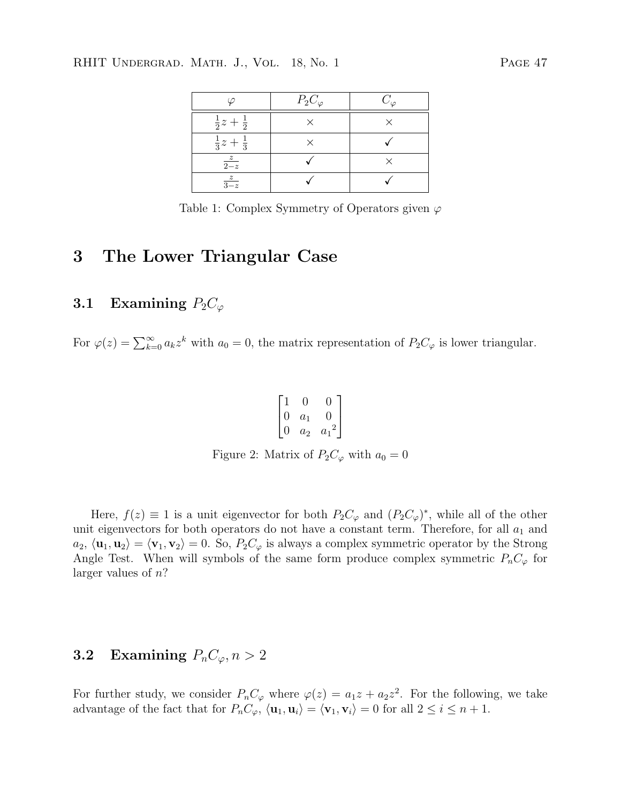#### RHIT UNDERGRAD. MATH. J., VOL. 18, No. 1 PAGE 47

|                            | $P_2C_\varphi$ | $C_{\varphi}$ |
|----------------------------|----------------|---------------|
| $rac{1}{2}z + \frac{1}{2}$ |                |               |
| $rac{1}{3}z + \frac{1}{3}$ |                |               |
| $rac{z}{2-z}$              |                |               |
| $rac{z}{3-z}$              |                |               |

Table 1: Complex Symmetry of Operators given  $\varphi$ 

#### 3 The Lower Triangular Case

#### 3.1 Examining  $P_2C_\varphi$

For  $\varphi(z) = \sum_{k=0}^{\infty} a_k z^k$  with  $a_0 = 0$ , the matrix representation of  $P_2 C_{\varphi}$  is lower triangular.

$$
\begin{bmatrix} 1 & 0 & 0 \\ 0 & a_1 & 0 \\ 0 & a_2 & a_1^2 \end{bmatrix}
$$

Figure 2: Matrix of  $P_2C_\varphi$  with  $a_0 = 0$ 

Here,  $f(z) \equiv 1$  is a unit eigenvector for both  $P_2C_{\varphi}$  and  $(P_2C_{\varphi})^*$ , while all of the other unit eigenvectors for both operators do not have a constant term. Therefore, for all  $a_1$  and  $a_2, \langle \mathbf{u}_1, \mathbf{u}_2 \rangle = \langle \mathbf{v}_1, \mathbf{v}_2 \rangle = 0.$  So,  $P_2C_\varphi$  is always a complex symmetric operator by the Strong Angle Test. When will symbols of the same form produce complex symmetric  $P_nC_\varphi$  for larger values of n?

#### **3.2** Examining  $P_nC_\varphi, n>2$

For further study, we consider  $P_nC_\varphi$  where  $\varphi(z) = a_1z + a_2z^2$ . For the following, we take advantage of the fact that for  $P_nC_\varphi$ ,  $\langle \mathbf{u}_1, \mathbf{u}_i \rangle = \langle \mathbf{v}_1, \mathbf{v}_i \rangle = 0$  for all  $2 \le i \le n + 1$ .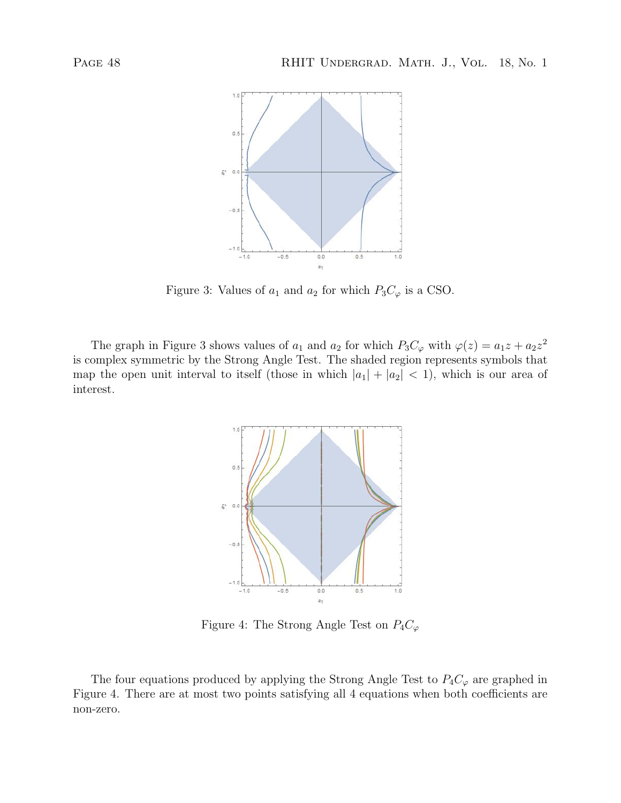

Figure 3: Values of  $a_1$  and  $a_2$  for which  $P_3C_\varphi$  is a CSO.

The graph in Figure 3 shows values of  $a_1$  and  $a_2$  for which  $P_3C_\varphi$  with  $\varphi(z) = a_1z + a_2z^2$ is complex symmetric by the Strong Angle Test. The shaded region represents symbols that map the open unit interval to itself (those in which  $|a_1| + |a_2| < 1$ ), which is our area of interest.



Figure 4: The Strong Angle Test on  $P_4C_\varphi$ 

The four equations produced by applying the Strong Angle Test to  $P_4C_\varphi$  are graphed in Figure 4. There are at most two points satisfying all 4 equations when both coefficients are non-zero.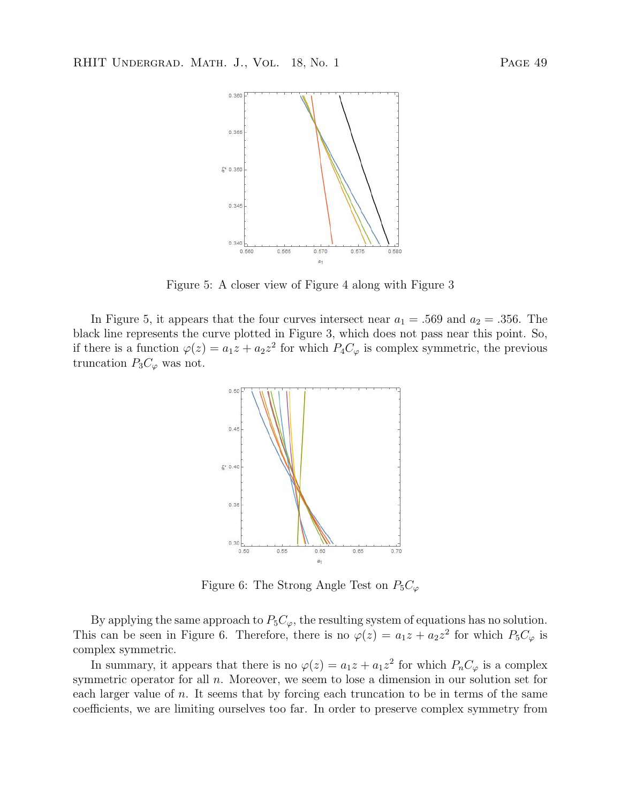

Figure 5: A closer view of Figure 4 along with Figure 3

In Figure 5, it appears that the four curves intersect near  $a_1 = .569$  and  $a_2 = .356$ . The black line represents the curve plotted in Figure 3, which does not pass near this point. So, if there is a function  $\varphi(z) = a_1 z + a_2 z^2$  for which  $P_4 C_{\varphi}$  is complex symmetric, the previous truncation  $P_3C_\varphi$  was not.



Figure 6: The Strong Angle Test on  $P_5C_\varphi$ 

By applying the same approach to  $P_5C_\varphi$ , the resulting system of equations has no solution. This can be seen in Figure 6. Therefore, there is no  $\varphi(z) = a_1 z + a_2 z^2$  for which  $P_5 C_{\varphi}$  is complex symmetric.

In summary, it appears that there is no  $\varphi(z) = a_1 z + a_1 z^2$  for which  $P_n C_\varphi$  is a complex symmetric operator for all  $n$ . Moreover, we seem to lose a dimension in our solution set for each larger value of  $n$ . It seems that by forcing each truncation to be in terms of the same coefficients, we are limiting ourselves too far. In order to preserve complex symmetry from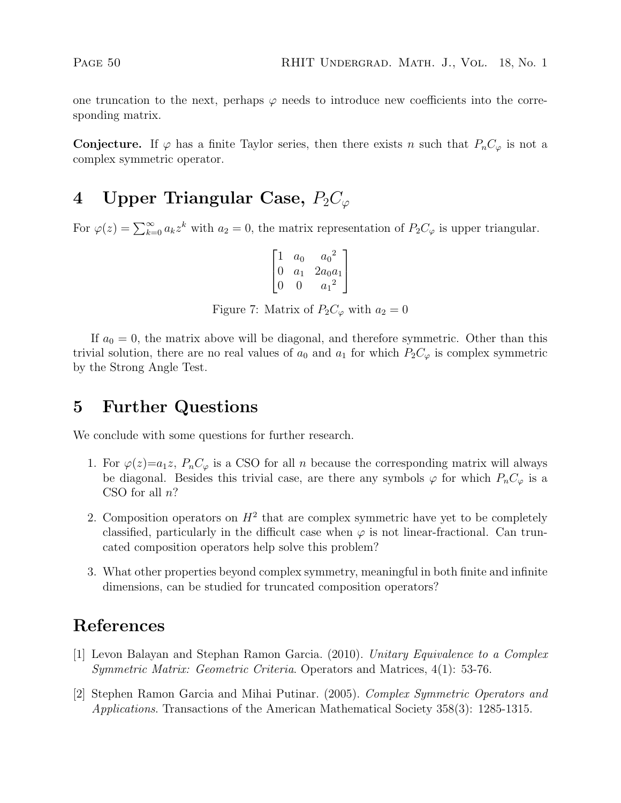one truncation to the next, perhaps  $\varphi$  needs to introduce new coefficients into the corresponding matrix.

**Conjecture.** If  $\varphi$  has a finite Taylor series, then there exists n such that  $P_nC_{\varphi}$  is not a complex symmetric operator.

## 4 Upper Triangular Case,  $P_2C_{\varphi}$

For  $\varphi(z) = \sum_{k=0}^{\infty} a_k z^k$  with  $a_2 = 0$ , the matrix representation of  $P_2 C_{\varphi}$  is upper triangular.

|  | $a_0$   | $a_0$     |
|--|---------|-----------|
|  | $a_{1}$ | $2a_0a_1$ |
|  |         | $\it a$   |

Figure 7: Matrix of  $P_2C_\varphi$  with  $a_2=0$ 

If  $a_0 = 0$ , the matrix above will be diagonal, and therefore symmetric. Other than this trivial solution, there are no real values of  $a_0$  and  $a_1$  for which  $P_2C_{\varphi}$  is complex symmetric by the Strong Angle Test.

## 5 Further Questions

We conclude with some questions for further research.

- 1. For  $\varphi(z)=a_1z$ ,  $P_nC_\varphi$  is a CSO for all n because the corresponding matrix will always be diagonal. Besides this trivial case, are there any symbols  $\varphi$  for which  $P_nC_{\varphi}$  is a CSO for all  $n$ ?
- 2. Composition operators on  $H^2$  that are complex symmetric have yet to be completely classified, particularly in the difficult case when  $\varphi$  is not linear-fractional. Can truncated composition operators help solve this problem?
- 3. What other properties beyond complex symmetry, meaningful in both finite and infinite dimensions, can be studied for truncated composition operators?

## References

- [1] Levon Balayan and Stephan Ramon Garcia. (2010). Unitary Equivalence to a Complex Symmetric Matrix: Geometric Criteria. Operators and Matrices, 4(1): 53-76.
- [2] Stephen Ramon Garcia and Mihai Putinar. (2005). Complex Symmetric Operators and Applications. Transactions of the American Mathematical Society 358(3): 1285-1315.